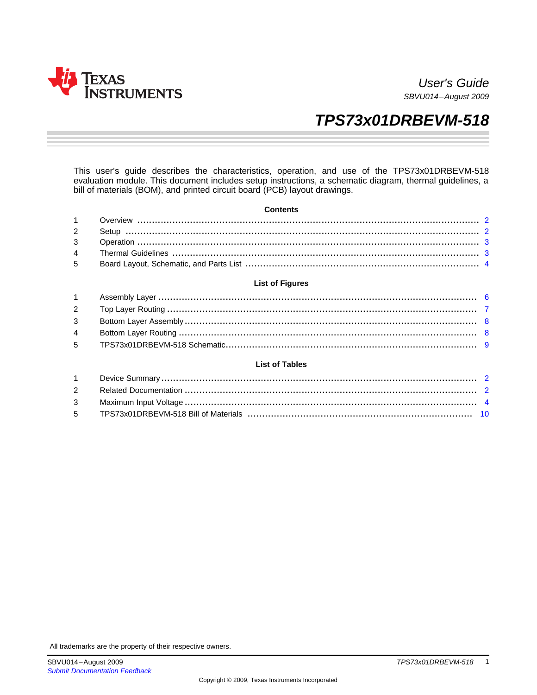

User's Guide SBVU014–August 2009

# **TPS73x01DRBEVM-518**

This user's guide describes the characteristics, operation, and use of the TPS73x01DRBEVM-518 evaluation module. This document includes setup instructions, a schematic diagram, thermal guidelines, a bill of materials (BOM), and printed circuit board (PCB) layout drawings.

#### **Contents**

## **List of Figures**

#### **List of Tables**

All trademarks are the property of their respective owners.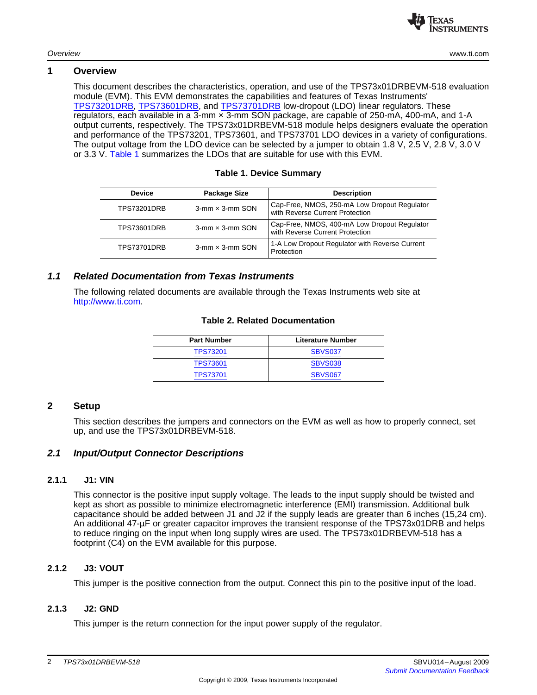

# <span id="page-1-0"></span>**1 Overview**

This document describes the characteristics, operation, and use of the TPS73x01DRBEVM-518 evaluation module (EVM). This EVM demonstrates the capabilities and features of Texas Instruments' [TPS73201DRB](http://focus.ti.com/docs/prod/folders/print/tps73201.html), [TPS73601DRB](http://focus.ti.com/docs/prod/folders/print/tps73601.html), and [TPS73701DRB](http://focus.ti.com/docs/prod/folders/print/tps73701.html) low-dropout (LDO) linear regulators. These regulators, each available in a 3-mm × 3-mm SON package, are capable of 250-mA, 400-mA, and 1-A output currents, respectively. The TPS73x01DRBEVM-518 module helps designers evaluate the operation and performance of the TPS73201, TPS73601, and TPS73701 LDO devices in a variety of configurations. The output voltage from the LDO device can be selected by a jumper to obtain 1.8 V, 2.5 V, 2.8 V, 3.0 V or 3.3 V. [Table](#page-1-2) 1 summarizes the LDOs that are suitable for use with this EVM.

## **Table 1. Device Summary**

| <b>Device</b>      | Package Size              | <b>Description</b>                                                              |  |  |
|--------------------|---------------------------|---------------------------------------------------------------------------------|--|--|
| <b>TPS73201DRB</b> | $3$ -mm $\times$ 3-mm SON | Cap-Free, NMOS, 250-mA Low Dropout Regulator<br>with Reverse Current Protection |  |  |
| <b>TPS73601DRB</b> | $3$ -mm $\times$ 3-mm SON | Cap-Free, NMOS, 400-mA Low Dropout Regulator<br>with Reverse Current Protection |  |  |
| <b>TPS73701DRB</b> | $3$ -mm $\times$ 3-mm SON | 1-A Low Dropout Regulator with Reverse Current<br>Protection                    |  |  |

# <span id="page-1-3"></span><span id="page-1-2"></span>**1.1 Related Documentation from Texas Instruments**

The following related documents are available through the Texas Instruments web site at <http://www.ti.com>.

# **Table 2. Related Documentation**

| <b>Part Number</b> | <b>Literature Number</b> |  |  |
|--------------------|--------------------------|--|--|
| <b>TPS73201</b>    | <b>SBVS037</b>           |  |  |
| <b>TPS73601</b>    | <b>SBVS038</b>           |  |  |
| <b>TPS73701</b>    | <b>SBVS067</b>           |  |  |

# <span id="page-1-1"></span>**2 Setup**

This section describes the jumpers and connectors on the EVM as well as how to properly connect, set up, and use the TPS73x01DRBEVM-518.

# **2.1 Input/Output Connector Descriptions**

# **2.1.1 J1: VIN**

This connector is the positive input supply voltage. The leads to the input supply should be twisted and kept as short as possible to minimize electromagnetic interference (EMI) transmission. Additional bulk capacitance should be added between J1 and J2 if the supply leads are greater than 6 inches (15,24 cm). An additional 47-µF or greater capacitor improves the transient response of the TPS73x01DRB and helps to reduce ringing on the input when long supply wires are used. The TPS73x01DRBEVM-518 has a footprint (C4) on the EVM available for this purpose.

# **2.1.2 J3: VOUT**

This jumper is the positive connection from the output. Connect this pin to the positive input of the load.

# **2.1.3 J2: GND**

This jumper is the return connection for the input power supply of the regulator.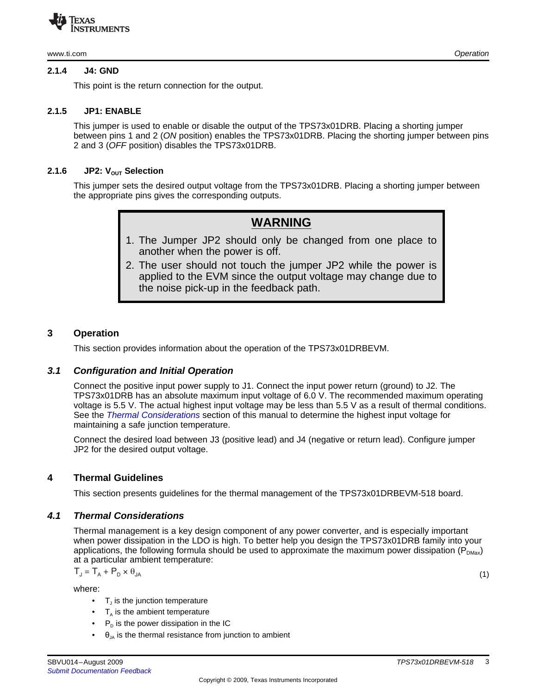www.ti.com Operation

#### **2.1.4 J4: GND**

This point is the return connection for the output.

# **2.1.5 JP1: ENABLE**

This jumper is used to enable or disable the output of the TPS73x01DRB. Placing a shorting jumper between pins 1 and 2 (ON position) enables the TPS73x01DRB. Placing the shorting jumper between pins 2 and 3 (OFF position) disables the TPS73x01DRB.

# **2.1.6 JP2:**  $V_{\text{OUT}}$  **Selection**

This jumper sets the desired output voltage from the TPS73x01DRB. Placing a shorting jumper between the appropriate pins gives the corresponding outputs.

# **WARNING**

- 1. The Jumper JP2 should only be changed from one place to another when the power is off.
- 2. The user should not touch the jumper JP2 while the power is applied to the EVM since the output voltage may change due to the noise pick-up in the feedback path.

# <span id="page-2-0"></span>**3 Operation**

This section provides information about the operation of the TPS73x01DRBEVM.

# **3.1 Configuration and Initial Operation**

Connect the positive input power supply to J1. Connect the input power return (ground) to J2. The TPS73x01DRB has an absolute maximum input voltage of 6.0 V. The recommended maximum operating voltage is 5.5 V. The actual highest input voltage may be less than 5.5 V as a result of thermal conditions. See the Thermal [Considerations](#page-2-2) section of this manual to determine the highest input voltage for maintaining a safe junction temperature.

Connect the desired load between J3 (positive lead) and J4 (negative or return lead). Configure jumper JP2 for the desired output voltage.

# <span id="page-2-1"></span>**4 Thermal Guidelines**

This section presents guidelines for the thermal management of the TPS73x01DRBEVM-518 board.

# <span id="page-2-3"></span><span id="page-2-2"></span>**4.1 Thermal Considerations**

Thermal management is a key design component of any power converter, and is especially important when power dissipation in the LDO is high. To better help you design the TPS73x01DRB family into your applications, the following formula should be used to approximate the maximum power dissipation ( $P_{DMax}$ ) at a particular ambient temperature:

$$
T_{J} = T_{A} + P_{D} \times \theta_{JA}
$$

where:

- $\bullet$  T<sub>J</sub> is the junction temperature
- $T_{\text{A}}$  is the ambient temperature
- $P<sub>D</sub>$  is the power dissipation in the IC
- $\theta_{\text{JA}}$  is the thermal resistance from junction to ambient

(1)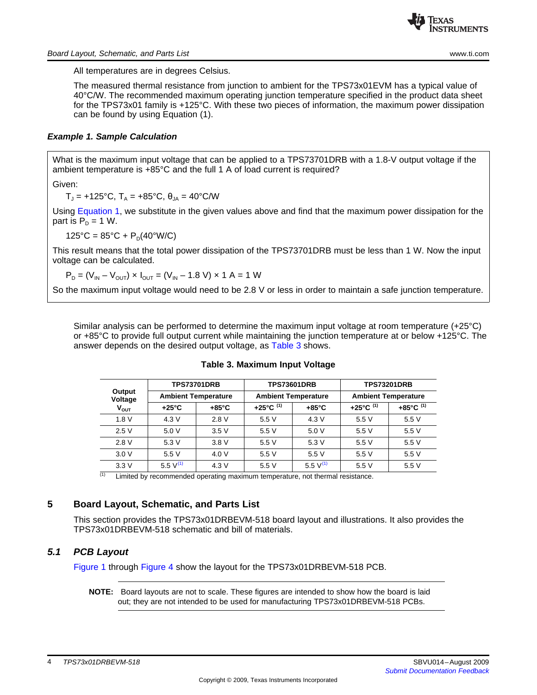All temperatures are in degrees Celsius.

The measured thermal resistance from junction to ambient for the TPS73x01EVM has a typical value of 40°C/W. The recommended maximum operating junction temperature specified in the product data sheet for the TPS73x01 family is +125°C. With these two pieces of information, the maximum power dissipation can be found by using Equation (1).

## <span id="page-3-2"></span>**Example 1. Sample [Calculation](#page-3-2)**

What is the maximum input voltage that can be applied to a TPS73701DRB with a 1.8-V output voltage if the ambient temperature is +85°C and the full 1 A of load current is required?

Given:

 $T_{\text{J}}$  = +125°C,  $T_{\text{A}}$  = +85°C,  $\theta_{\text{JA}}$  = 40°C/W

Using [Equation](#page-2-3) 1, we substitute in the given values above and find that the maximum power dissipation for the part is  $P_p = 1$  W.

 $125^{\circ}$ C = 85 $^{\circ}$ C + P<sub>p</sub>(40 $^{\circ}$ W/C)

This result means that the total power dissipation of the TPS73701DRB must be less than 1 W. Now the input voltage can be calculated.

$$
P_D = (V_{IN} - V_{OUT}) \times I_{OUT} = (V_{IN} - 1.8 V) \times 1 A = 1 W
$$

So the maximum input voltage would need to be 2.8 V or less in order to maintain a safe junction temperature.

<span id="page-3-1"></span>Similar analysis can be performed to determine the maximum input voltage at room temperature (+25°C) or +85°C to provide full output current while maintaining the junction temperature at or below +125°C. The answer depends on the desired output voltage, as [Table](#page-3-1) 3 shows.

|                   |                            | <b>TPS73701DRB</b> |                            | <b>TPS73601DRB</b> | <b>TPS73201DRB</b>         |                                 |
|-------------------|----------------------------|--------------------|----------------------------|--------------------|----------------------------|---------------------------------|
| Output<br>Voltage | <b>Ambient Temperature</b> |                    | <b>Ambient Temperature</b> |                    | <b>Ambient Temperature</b> |                                 |
| $V_{OUT}$         | $+25^{\circ}$ C            | $+85^{\circ}$ C    | +25°C $(1)$                | $+85^{\circ}$ C    | +25°C $(1)$                | +85 $^{\circ}$ C <sup>(1)</sup> |
| 1.8V              | 4.3V                       | 2.8V               | 5.5V                       | 4.3V               | 5.5V                       | 5.5V                            |
| 2.5V              | 5.0 V                      | 3.5V               | 5.5V                       | 5.0 V              | 5.5 V                      | 5.5 V                           |
| 2.8V              | 5.3V                       | 3.8V               | 5.5V                       | 5.3V               | 5.5V                       | 5.5V                            |
| 3.0V              | 5.5V                       | 4.0 V              | 5.5V                       | 5.5V               | 5.5V                       | 5.5 V                           |
| 3.3V              | 5.5 $V^{(1)}$              | 4.3V               | 5.5 V                      | 5.5 $V^{(1)}$      | 5.5V                       | 5.5V                            |

#### **Table 3. Maximum Input Voltage**

 $(1)$  Limited by recommended operating maximum temperature, not thermal resistance.

# <span id="page-3-0"></span>**5 Board Layout, Schematic, and Parts List**

This section provides the TPS73x01DRBEVM-518 board layout and illustrations. It also provides the TPS73x01DRBEVM-518 schematic and bill of materials.

# **5.1 PCB Layout**

[Figure](#page-5-0) 1 through [Figure](#page-7-1) 4 show the layout for the TPS73x01DRBEVM-518 PCB.

**NOTE:** Board layouts are not to scale. These figures are intended to show how the board is laid out; they are not intended to be used for manufacturing TPS73x01DRBEVM-518 PCBs.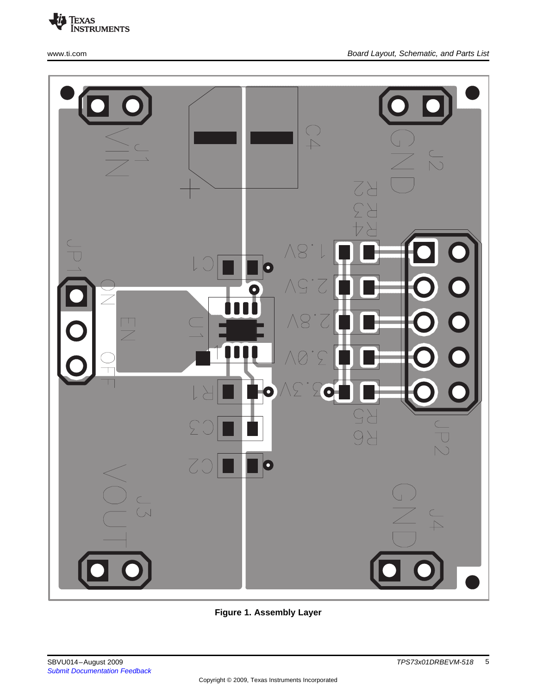



**Figure 1. Assembly Layer**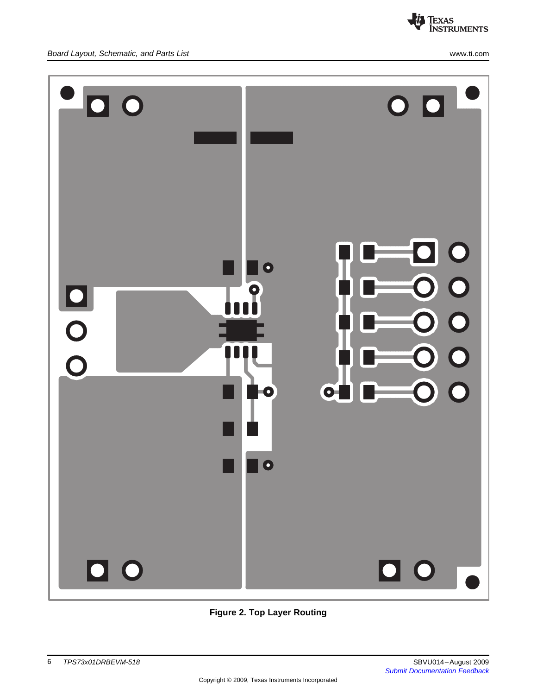

<span id="page-5-0"></span>

**Figure 2. Top Layer Routing**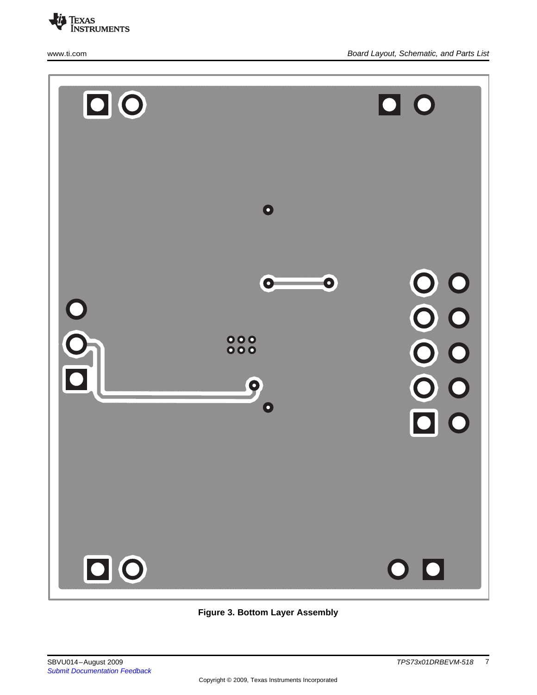

<span id="page-6-0"></span>

**Figure 3. Bottom Layer Assembly**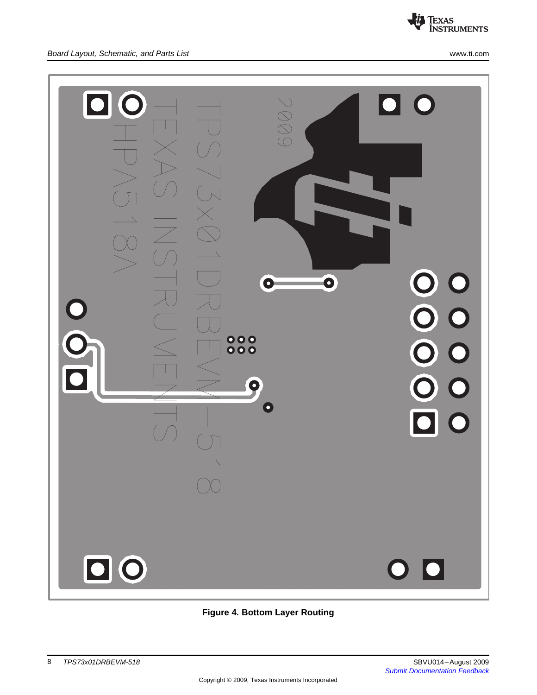

<span id="page-7-0"></span>

# <span id="page-7-1"></span>**Figure 4. Bottom Layer Routing**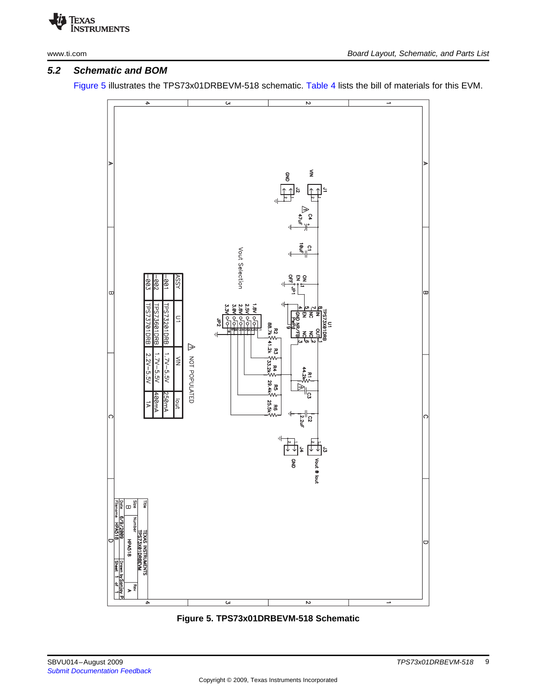

# **5.2 Schematic and BOM**

[Figure](#page-8-0) 5 illustrates the TPS73x01DRBEVM-518 schematic. [Table](#page-9-0) 4 lists the bill of materials for this EVM.



<span id="page-8-0"></span>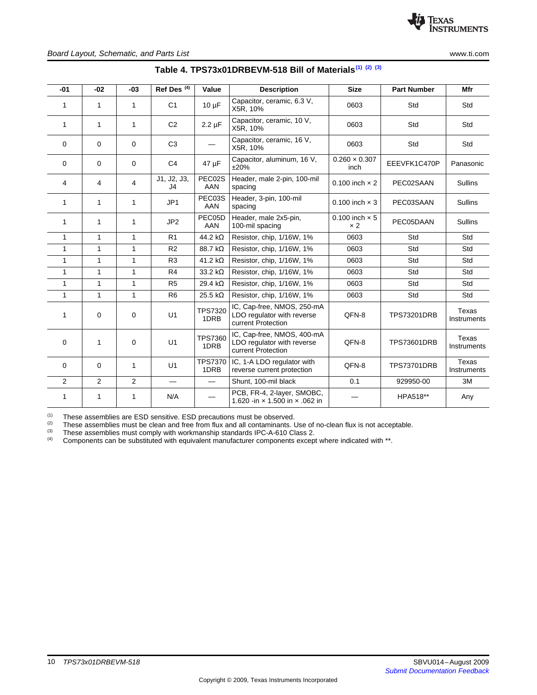<span id="page-9-0"></span>

| -01            | $-02$          | $-03$          | Ref Des $(4)$                 | Value                  | <b>Description</b>                                                             | <b>Size</b>                         | <b>Part Number</b> | Mfr                  |
|----------------|----------------|----------------|-------------------------------|------------------------|--------------------------------------------------------------------------------|-------------------------------------|--------------------|----------------------|
| 1              | 1              | 1              | C <sub>1</sub>                | $10 \mu F$             | Capacitor, ceramic, 6.3 V,<br>X5R, 10%                                         | 0603                                | Std                | Std                  |
| 1              | 1              | 1              | C <sub>2</sub>                | $2.2 \mu F$            | Capacitor, ceramic, 10 V,<br>X5R, 10%                                          | 0603                                | Std                | Std                  |
| $\Omega$       | $\Omega$       | $\Omega$       | C <sub>3</sub>                |                        | Capacitor, ceramic, 16 V,<br>X5R, 10%                                          | 0603                                | Std                | Std                  |
| 0              | 0              | $\mathbf 0$    | C <sub>4</sub>                | 47 µF                  | Capacitor, aluminum, 16 V,<br>±20%                                             | $0.260 \times 0.307$<br>inch        | EEEVFK1C470P       | Panasonic            |
| 4              | 4              | 4              | J1, J2, J3,<br>J <sub>4</sub> | PEC02S<br>AAN          | Header, male 2-pin, 100-mil<br>spacing                                         | 0.100 inch $\times$ 2               | PEC02SAAN          | <b>Sullins</b>       |
| 1              | $\mathbf{1}$   | 1              | JP1                           | PEC03S<br>AAN          | Header, 3-pin, 100-mil<br>spacing                                              | 0.100 inch $\times$ 3               | PEC03SAAN          | <b>Sullins</b>       |
| 1              | $\mathbf{1}$   | 1              | JP2                           | PEC05D<br>AAN          | Header, male 2x5-pin,<br>100-mil spacing                                       | 0.100 inch $\times$ 5<br>$\times 2$ | PEC05DAAN          | <b>Sullins</b>       |
| 1              | $\mathbf{1}$   | $\mathbf{1}$   | R <sub>1</sub>                | 44.2 $k\Omega$         | Resistor, chip, 1/16W, 1%                                                      | 0603                                | Std                | Std                  |
| 1              | $\mathbf{1}$   | $\mathbf{1}$   | R <sub>2</sub>                | 88.7 kΩ                | Resistor, chip, 1/16W, 1%                                                      | 0603                                | Std                | Std                  |
| 1              | $\mathbf{1}$   | $\mathbf{1}$   | R <sub>3</sub>                | 41.2 $k\Omega$         | Resistor, chip. 1/16W, 1%                                                      | 0603                                | Std                | Std                  |
| 1              | $\mathbf{1}$   | 1              | R <sub>4</sub>                | $33.2 k\Omega$         | Resistor, chip, 1/16W, 1%                                                      | 0603                                | Std                | Std                  |
| 1              | $\mathbf{1}$   | $\mathbf{1}$   | R <sub>5</sub>                | 29.4 $k\Omega$         | Resistor, chip, 1/16W, 1%                                                      | 0603                                | Std                | Std                  |
| 1              | $\mathbf{1}$   | $\mathbf{1}$   | R <sub>6</sub>                | 25.5 $k\Omega$         | Resistor, chip. 1/16W, 1%                                                      | 0603                                | Std                | Std                  |
| 1              | 0              | $\mathbf 0$    | U1                            | <b>TPS7320</b><br>1DRB | IC, Cap-free, NMOS, 250-mA<br>LDO regulator with reverse<br>current Protection | QFN-8                               | <b>TPS73201DRB</b> | Texas<br>Instruments |
| 0              | 1              | $\mathbf 0$    | U1                            | <b>TPS7360</b><br>1DRB | IC, Cap-free, NMOS, 400-mA<br>LDO regulator with reverse<br>current Protection | QFN-8                               | <b>TPS73601DRB</b> | Texas<br>Instruments |
| 0              | 0              | 1              | U1                            | <b>TPS7370</b><br>1DRB | IC, 1-A LDO regulator with<br>reverse current protection                       | QFN-8                               | <b>TPS73701DRB</b> | Texas<br>Instruments |
| $\overline{2}$ | $\overline{2}$ | $\overline{2}$ | $\overline{\phantom{0}}$      |                        | Shunt, 100-mil black                                                           | 0.1                                 | 929950-00          | 3M                   |
| 1              | 1              | 1              | N/A                           |                        | PCB, FR-4, 2-layer, SMOBC,<br>1.620 - in x 1.500 in x .062 in                  |                                     | HPA518**           | Any                  |

# **Table 4. TPS73x01DRBEVM-518 Bill of Materials(1) (2) (3)**

(1) These assemblies are ESD sensitive. ESD precautions must be observed.<br>(2) These assemblies must be clean and free from flux and all contaminants L

(2) These assemblies must be clean and free from flux and all contaminants. Use of no-clean flux is not acceptable.<br>
(3) These assemblies must comply with workmanship standards IPC-A-610 Class 2

(3) These assemblies must comply with workmanship standards IPC-A-610 Class 2.<br>(4) Components can be substituted with equivalent manufacturer components excep-

Components can be substituted with equivalent manufacturer components except where indicated with \*\*.